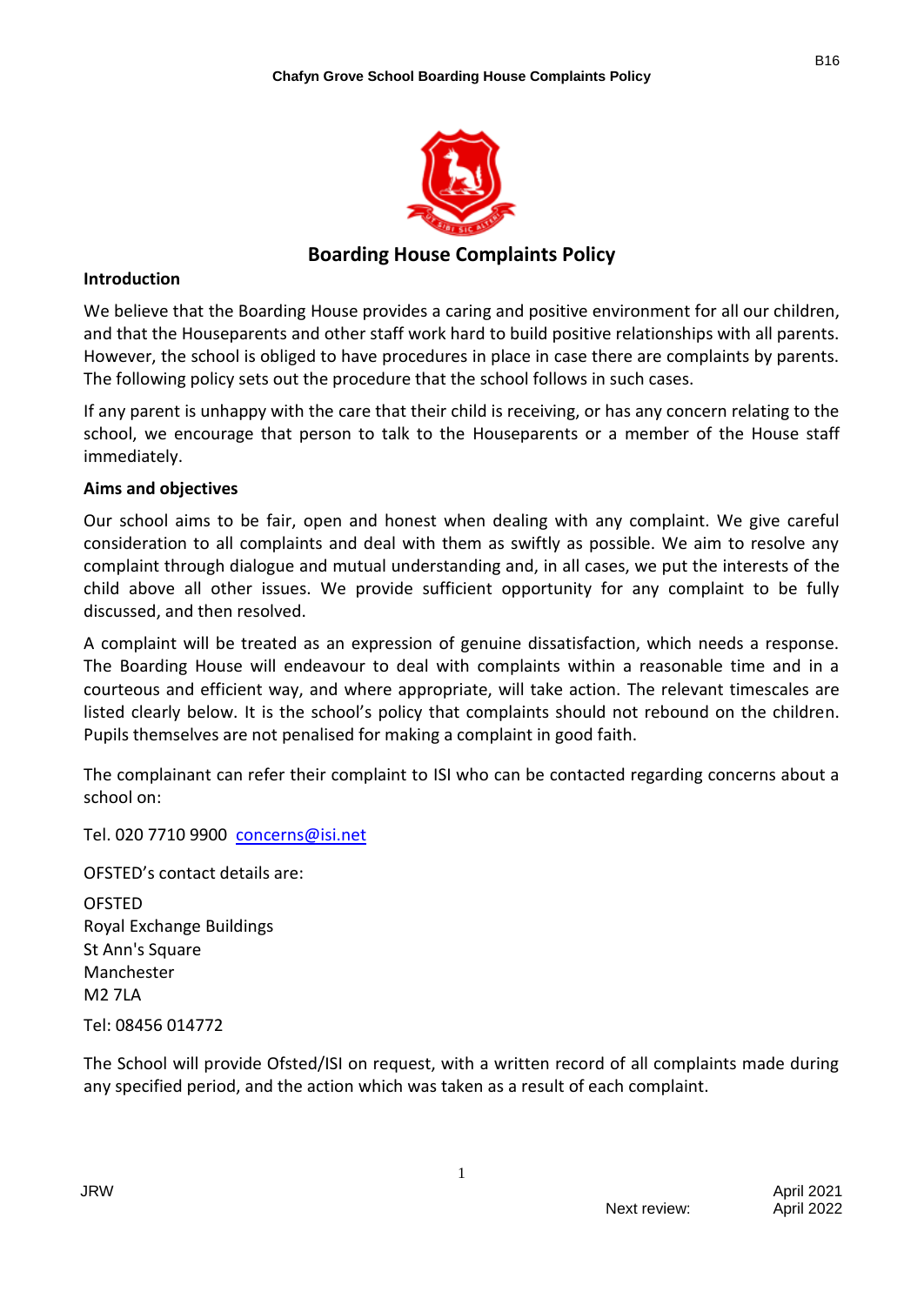

# **Boarding House Complaints Policy**

#### **Introduction**

We believe that the Boarding House provides a caring and positive environment for all our children, and that the Houseparents and other staff work hard to build positive relationships with all parents. However, the school is obliged to have procedures in place in case there are complaints by parents. The following policy sets out the procedure that the school follows in such cases.

If any parent is unhappy with the care that their child is receiving, or has any concern relating to the school, we encourage that person to talk to the Houseparents or a member of the House staff immediately.

### **Aims and objectives**

Our school aims to be fair, open and honest when dealing with any complaint. We give careful consideration to all complaints and deal with them as swiftly as possible. We aim to resolve any complaint through dialogue and mutual understanding and, in all cases, we put the interests of the child above all other issues. We provide sufficient opportunity for any complaint to be fully discussed, and then resolved.

A complaint will be treated as an expression of genuine dissatisfaction, which needs a response. The Boarding House will endeavour to deal with complaints within a reasonable time and in a courteous and efficient way, and where appropriate, will take action. The relevant timescales are listed clearly below. It is the school's policy that complaints should not rebound on the children. Pupils themselves are not penalised for making a complaint in good faith.

The complainant can refer their complaint to ISI who can be contacted regarding concerns about a school on:

Tel. 020 7710 9900 [concerns@isi.net](mailto:concerns@isi.net)

OFSTED's contact details are:

OFSTED Royal Exchange Buildings St Ann's Square Manchester M2 7LA Tel: 08456 014772

The School will provide Ofsted/ISI on request, with a written record of all complaints made during any specified period, and the action which was taken as a result of each complaint.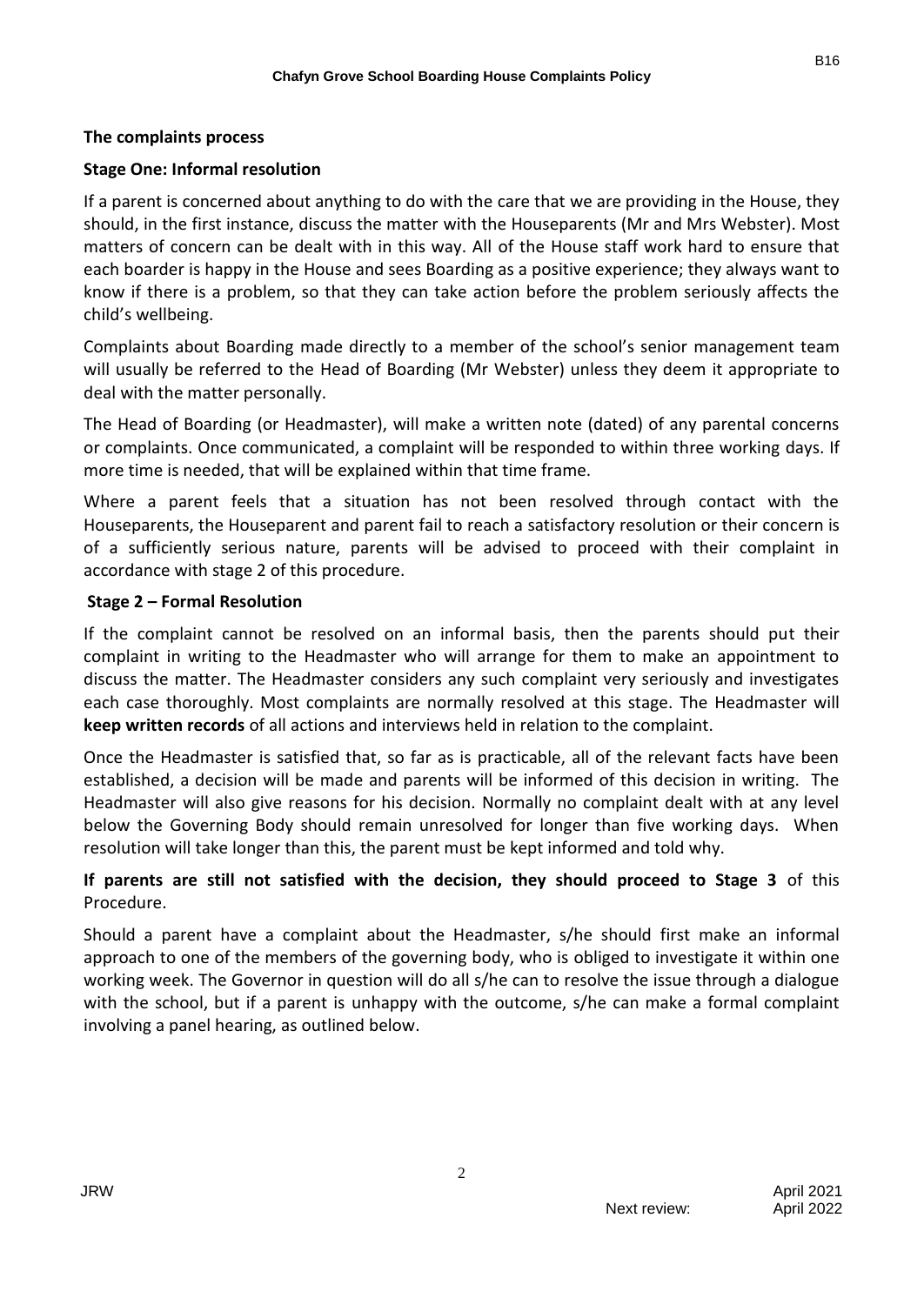### **The complaints process**

#### **Stage One: Informal resolution**

If a parent is concerned about anything to do with the care that we are providing in the House, they should, in the first instance, discuss the matter with the Houseparents (Mr and Mrs Webster). Most matters of concern can be dealt with in this way. All of the House staff work hard to ensure that each boarder is happy in the House and sees Boarding as a positive experience; they always want to know if there is a problem, so that they can take action before the problem seriously affects the child's wellbeing.

Complaints about Boarding made directly to a member of the school's senior management team will usually be referred to the Head of Boarding (Mr Webster) unless they deem it appropriate to deal with the matter personally.

The Head of Boarding (or Headmaster), will make a written note (dated) of any parental concerns or complaints. Once communicated, a complaint will be responded to within three working days. If more time is needed, that will be explained within that time frame.

Where a parent feels that a situation has not been resolved through contact with the Houseparents, the Houseparent and parent fail to reach a satisfactory resolution or their concern is of a sufficiently serious nature, parents will be advised to proceed with their complaint in accordance with stage 2 of this procedure.

#### **Stage 2 – Formal Resolution**

If the complaint cannot be resolved on an informal basis, then the parents should put their complaint in writing to the Headmaster who will arrange for them to make an appointment to discuss the matter. The Headmaster considers any such complaint very seriously and investigates each case thoroughly. Most complaints are normally resolved at this stage. The Headmaster will **keep written records** of all actions and interviews held in relation to the complaint.

Once the Headmaster is satisfied that, so far as is practicable, all of the relevant facts have been established, a decision will be made and parents will be informed of this decision in writing. The Headmaster will also give reasons for his decision. Normally no complaint dealt with at any level below the Governing Body should remain unresolved for longer than five working days. When resolution will take longer than this, the parent must be kept informed and told why.

# **If parents are still not satisfied with the decision, they should proceed to Stage 3** of this Procedure.

Should a parent have a complaint about the Headmaster, s/he should first make an informal approach to one of the members of the governing body, who is obliged to investigate it within one working week. The Governor in question will do all s/he can to resolve the issue through a dialogue with the school, but if a parent is unhappy with the outcome, s/he can make a formal complaint involving a panel hearing, as outlined below.

2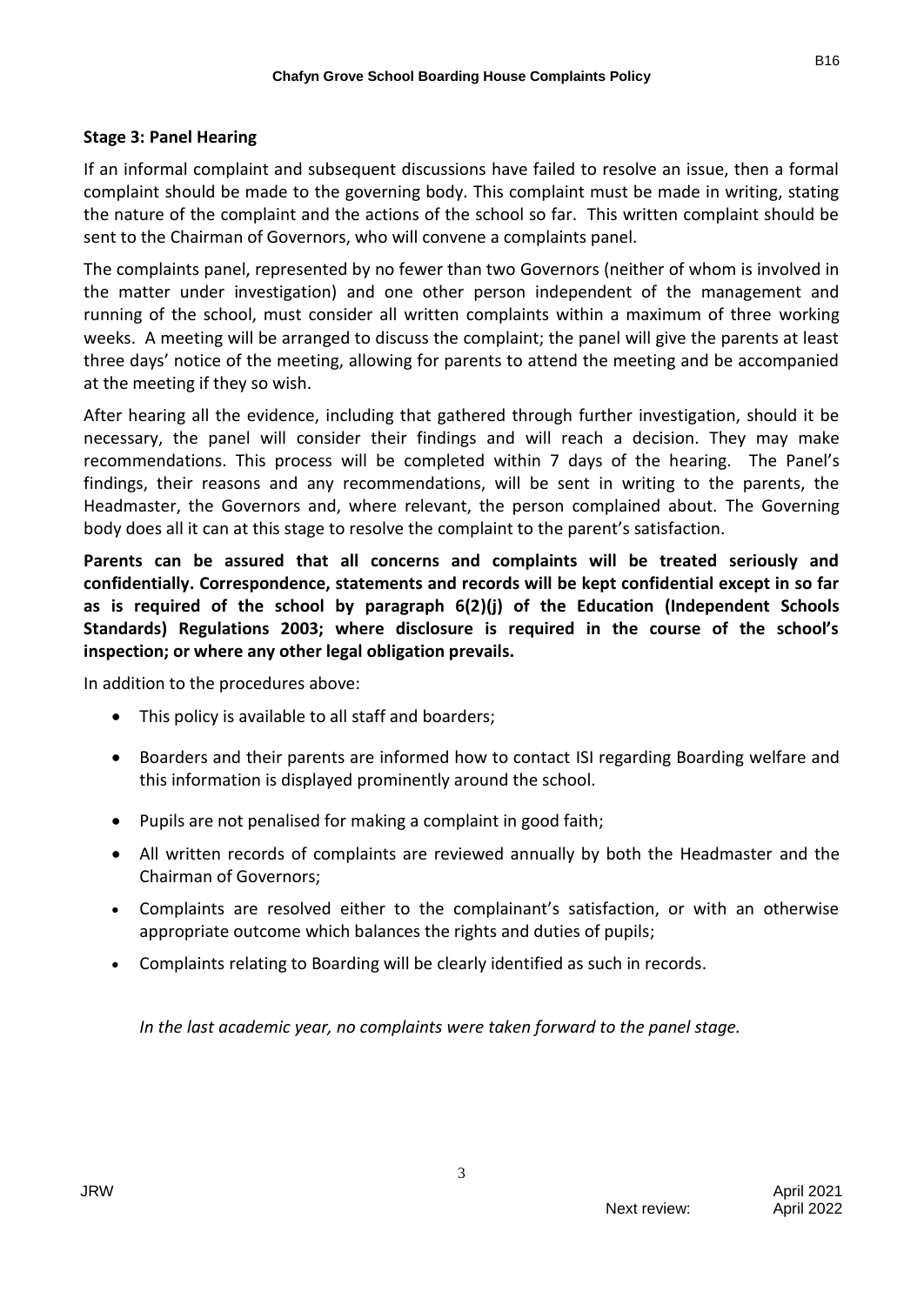# **Stage 3: Panel Hearing**

If an informal complaint and subsequent discussions have failed to resolve an issue, then a formal complaint should be made to the governing body. This complaint must be made in writing, stating the nature of the complaint and the actions of the school so far. This written complaint should be sent to the Chairman of Governors, who will convene a complaints panel.

The complaints panel, represented by no fewer than two Governors (neither of whom is involved in the matter under investigation) and one other person independent of the management and running of the school, must consider all written complaints within a maximum of three working weeks. A meeting will be arranged to discuss the complaint; the panel will give the parents at least three days' notice of the meeting, allowing for parents to attend the meeting and be accompanied at the meeting if they so wish.

After hearing all the evidence, including that gathered through further investigation, should it be necessary, the panel will consider their findings and will reach a decision. They may make recommendations. This process will be completed within 7 days of the hearing. The Panel's findings, their reasons and any recommendations, will be sent in writing to the parents, the Headmaster, the Governors and, where relevant, the person complained about. The Governing body does all it can at this stage to resolve the complaint to the parent's satisfaction.

**Parents can be assured that all concerns and complaints will be treated seriously and confidentially. Correspondence, statements and records will be kept confidential except in so far as is required of the school by paragraph 6(2)(j) of the Education (Independent Schools Standards) Regulations 2003; where disclosure is required in the course of the school's inspection; or where any other legal obligation prevails.**

In addition to the procedures above:

- This policy is available to all staff and boarders;
- Boarders and their parents are informed how to contact ISI regarding Boarding welfare and this information is displayed prominently around the school.
- Pupils are not penalised for making a complaint in good faith;
- All written records of complaints are reviewed annually by both the Headmaster and the Chairman of Governors;
- Complaints are resolved either to the complainant's satisfaction, or with an otherwise appropriate outcome which balances the rights and duties of pupils;
- Complaints relating to Boarding will be clearly identified as such in records.

*In the last academic year, no complaints were taken forward to the panel stage.*